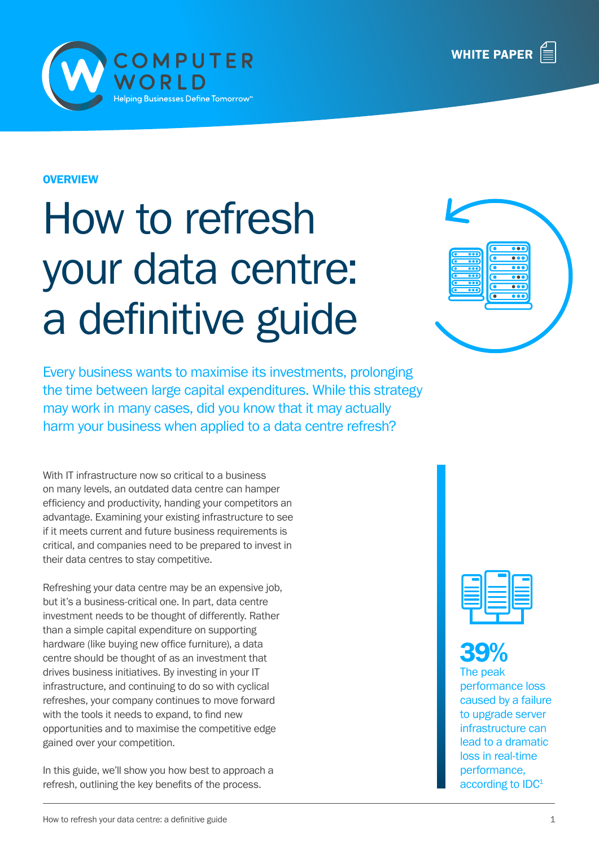



#### **OVERVIEW**

# How to refresh your data centre: a definitive guide

Every business wants to maximise its investments, prolonging the time between large capital expenditures. While this strategy may work in many cases, did you know that it may actually harm your business when applied to a data centre refresh?

With IT infrastructure now so critical to a business on many levels, an outdated data centre can hamper efficiency and productivity, handing your competitors an advantage. Examining your existing infrastructure to see if it meets current and future business requirements is critical, and companies need to be prepared to invest in their data centres to stay competitive.

Refreshing your data centre may be an expensive job, but it's a business-critical one. In part, data centre investment needs to be thought of differently. Rather than a simple capital expenditure on supporting hardware (like buying new office furniture), a data centre should be thought of as an investment that drives business initiatives. By investing in your IT infrastructure, and continuing to do so with cyclical refreshes, your company continues to move forward with the tools it needs to expand, to find new opportunities and to maximise the competitive edge gained over your competition.

In this guide, we'll show you how best to approach a refresh, outlining the key benefits of the process.



### 39%

The peak performance loss caused by a failure to upgrade server infrastructure can lead to a dramatic loss in real-time performance, according to IDC<sup>1</sup>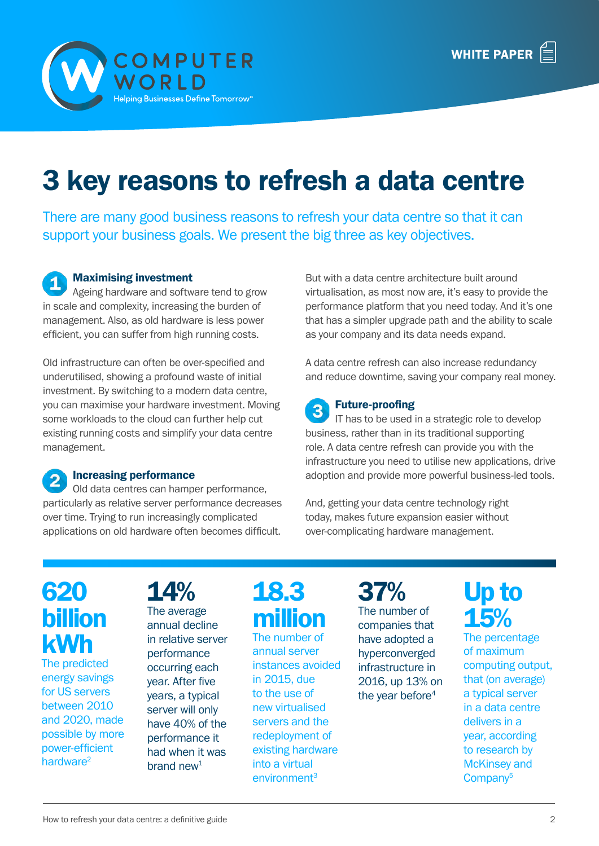

# 3 key reasons to refresh a data centre

There are many good business reasons to refresh your data centre so that it can support your business goals. We present the big three as key objectives.

#### Maximising investment

Ageing hardware and software tend to grow in scale and complexity, increasing the burden of management. Also, as old hardware is less power efficient, you can suffer from high running costs.

Old infrastructure can often be over-specified and underutilised, showing a profound waste of initial investment. By switching to a modern data centre, you can maximise your hardware investment. Moving some workloads to the cloud can further help cut existing running costs and simplify your data centre management.

#### Increasing performance

Old data centres can hamper performance, particularly as relative server performance decreases over time. Trying to run increasingly complicated applications on old hardware often becomes difficult.

But with a data centre architecture built around virtualisation, as most now are, it's easy to provide the performance platform that you need today. And it's one that has a simpler upgrade path and the ability to scale as your company and its data needs expand.

A data centre refresh can also increase redundancy and reduce downtime, saving your company real money.

#### Future-proofing

IT has to be used in a strategic role to develop business, rather than in its traditional supporting role. A data centre refresh can provide you with the infrastructure you need to utilise new applications, drive adoption and provide more powerful business-led tools.

And, getting your data centre technology right today, makes future expansion easier without over-complicating hardware management.

### 620 billion kWh

The predicted energy savings for US servers between 2010 and 2020, made possible by more power-efficient hardware<sup>2</sup>

14% The average annual decline in relative server performance occurring each year. After five years, a typical server will only have 40% of the performance it had when it was brand  $new<sup>1</sup>$ 

### 18.3 million

The number of annual server instances avoided in 2015, due to the use of new virtualised servers and the redeployment of existing hardware into a virtual environment<sup>3</sup>

37% The number of companies that have adopted a hyperconverged infrastructure in 2016, up 13% on the year before<sup>4</sup>

### Up to 15%

The percentage of maximum computing output, that (on average) a typical server in a data centre delivers in a year, according to research by McKinsey and Company5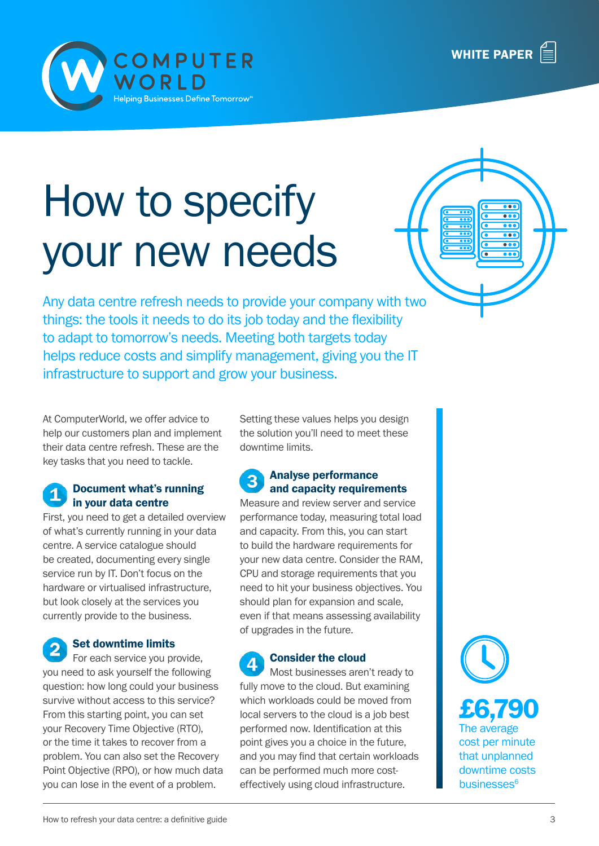



C<mark>OMPUTER</mark><br>NORLD

ping Businesses Define Tomorrow™

Any data centre refresh needs to provide your company with two things: the tools it needs to do its job today and the flexibility to adapt to tomorrow's needs. Meeting both targets today helps reduce costs and simplify management, giving you the IT infrastructure to support and grow your business.

At ComputerWorld, we offer advice to help our customers plan and implement their data centre refresh. These are the key tasks that you need to tackle.

#### Document what's running in your data centre

First, you need to get a detailed overview of what's currently running in your data centre. A service catalogue should be created, documenting every single service run by IT. Don't focus on the hardware or virtualised infrastructure, but look closely at the services you currently provide to the business.

Set downtime limits

For each service you provide, you need to ask yourself the following question: how long could your business survive without access to this service? From this starting point, you can set your Recovery Time Objective (RTO), or the time it takes to recover from a problem. You can also set the Recovery Point Objective (RPO), or how much data you can lose in the event of a problem.

Setting these values helps you design the solution you'll need to meet these downtime limits.

#### Analyse performance and capacity requirements

Measure and review server and service performance today, measuring total load and capacity. From this, you can start to build the hardware requirements for your new data centre. Consider the RAM, CPU and storage requirements that you need to hit your business objectives. You should plan for expansion and scale, even if that means assessing availability of upgrades in the future.

### Consider the cloud

Most businesses aren't ready to fully move to the cloud. But examining which workloads could be moved from local servers to the cloud is a job best performed now. Identification at this point gives you a choice in the future, and you may find that certain workloads can be performed much more costeffectively using cloud infrastructure.

that unplanned downtime costs businesses<sup>6</sup>

£6,790

The average cost per minute



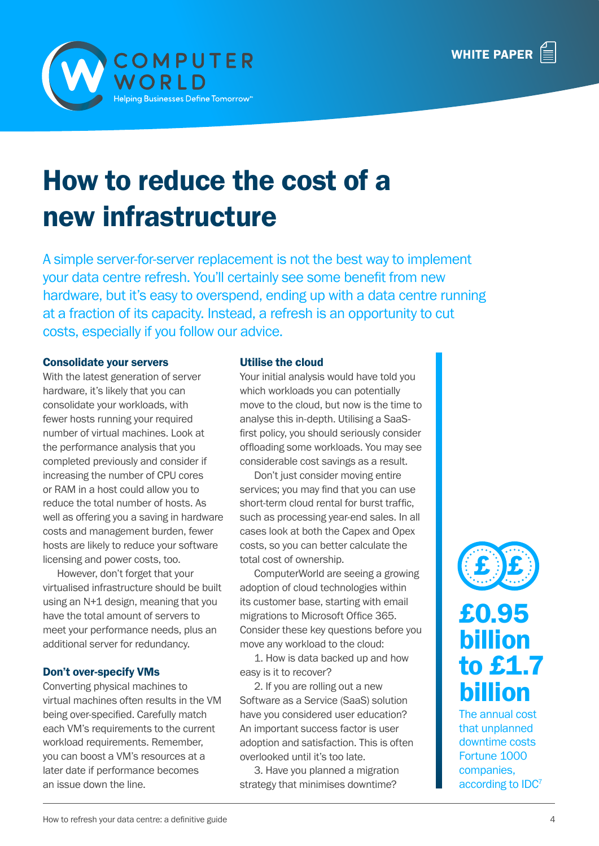



# How to reduce the cost of a new infrastructure

A simple server-for-server replacement is not the best way to implement your data centre refresh. You'll certainly see some benefit from new hardware, but it's easy to overspend, ending up with a data centre running at a fraction of its capacity. Instead, a refresh is an opportunity to cut costs, especially if you follow our advice.

#### Consolidate your servers

With the latest generation of server hardware, it's likely that you can consolidate your workloads, with fewer hosts running your required number of virtual machines. Look at the performance analysis that you completed previously and consider if increasing the number of CPU cores or RAM in a host could allow you to reduce the total number of hosts. As well as offering you a saving in hardware costs and management burden, fewer hosts are likely to reduce your software licensing and power costs, too.

However, don't forget that your virtualised infrastructure should be built using an N+1 design, meaning that you have the total amount of servers to meet your performance needs, plus an additional server for redundancy.

#### Don't over-specify VMs

Converting physical machines to virtual machines often results in the VM being over-specified. Carefully match each VM's requirements to the current workload requirements. Remember, you can boost a VM's resources at a later date if performance becomes an issue down the line.

#### Utilise the cloud

Your initial analysis would have told you which workloads you can potentially move to the cloud, but now is the time to analyse this in-depth. Utilising a SaaSfirst policy, you should seriously consider offloading some workloads. You may see considerable cost savings as a result.

Don't just consider moving entire services; you may find that you can use short-term cloud rental for burst traffic, such as processing year-end sales. In all cases look at both the Capex and Opex costs, so you can better calculate the total cost of ownership.

ComputerWorld are seeing a growing adoption of cloud technologies within its customer base, starting with email migrations to Microsoft Office 365. Consider these key questions before you move any workload to the cloud:

1. How is data backed up and how easy is it to recover?

2. If you are rolling out a new Software as a Service (SaaS) solution have you considered user education? An important success factor is user adoption and satisfaction. This is often overlooked until it's too late.

3. Have you planned a migration strategy that minimises downtime?



### £0.95 billion to £1.7 billion

The annual cost that unplanned downtime costs Fortune 1000 companies, according to IDC7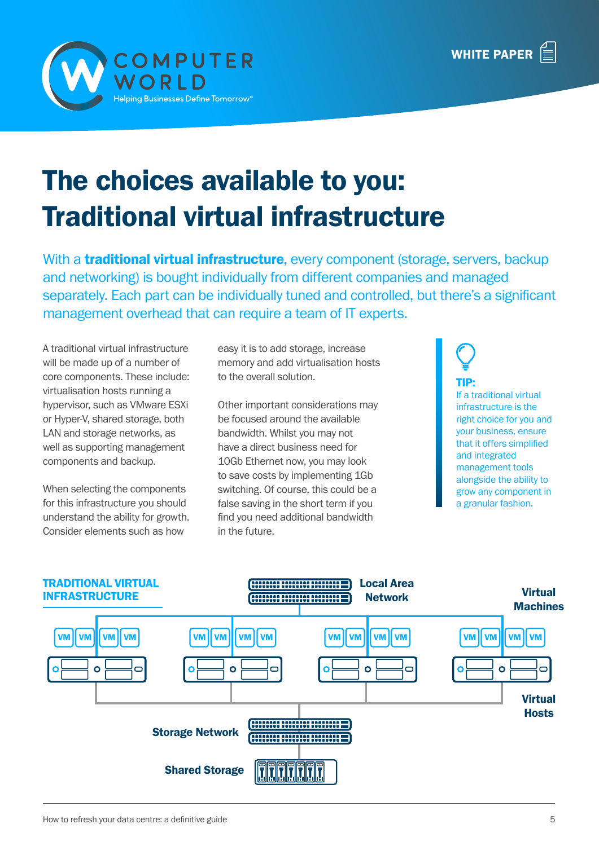

# The choices available to you: Traditional virtual infrastructure

With a **traditional virtual infrastructure**, every component (storage, servers, backup and networking) is bought individually from different companies and managed separately. Each part can be individually tuned and controlled, but there's a significant management overhead that can require a team of IT experts.

A traditional virtual infrastructure will be made up of a number of core components. These include: virtualisation hosts running a hypervisor, such as VMware ESXi or Hyper-V, shared storage, both LAN and storage networks, as well as supporting management components and backup.

When selecting the components for this infrastructure you should understand the ability for growth. Consider elements such as how

easy it is to add storage, increase memory and add virtualisation hosts to the overall solution.

Other important considerations may be focused around the available bandwidth. Whilst you may not have a direct business need for 10Gb Ethernet now, you may look to save costs by implementing 1Gb switching. Of course, this could be a false saving in the short term if you find you need additional bandwidth in the future.

TIP: If a traditional virtual infrastructure is the right choice for you and your business, ensure that it offers simplified and integrated management tools alongside the ability to grow any component in a granular fashion.

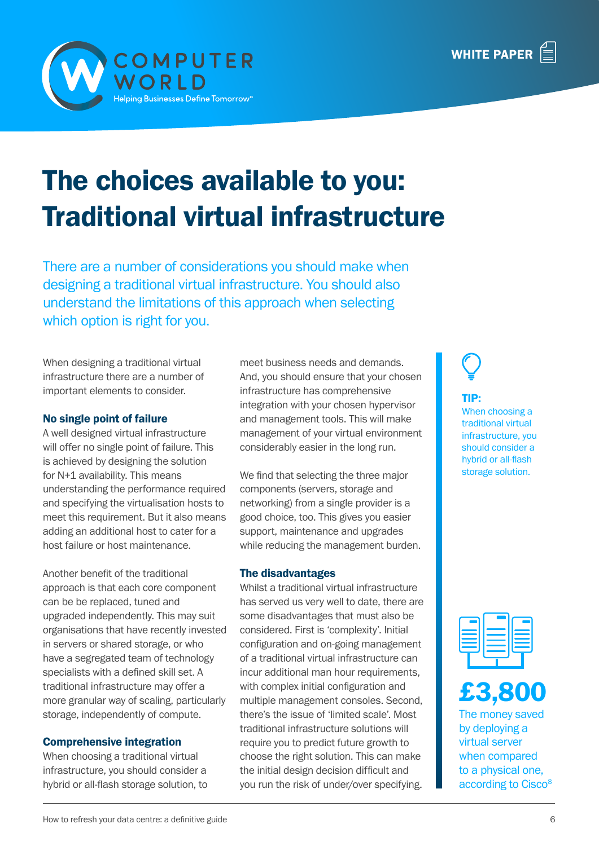

# The choices available to you: Traditional virtual infrastructure

There are a number of considerations you should make when designing a traditional virtual infrastructure. You should also understand the limitations of this approach when selecting which option is right for you.

When designing a traditional virtual infrastructure there are a number of important elements to consider.

#### No single point of failure

A well designed virtual infrastructure will offer no single point of failure. This is achieved by designing the solution for N+1 availability. This means understanding the performance required and specifying the virtualisation hosts to meet this requirement. But it also means adding an additional host to cater for a host failure or host maintenance.

Another benefit of the traditional approach is that each core component can be be replaced, tuned and upgraded independently. This may suit organisations that have recently invested in servers or shared storage, or who have a segregated team of technology specialists with a defined skill set. A traditional infrastructure may offer a more granular way of scaling, particularly storage, independently of compute.

#### Comprehensive integration

When choosing a traditional virtual infrastructure, you should consider a hybrid or all-flash storage solution, to meet business needs and demands. And, you should ensure that your chosen infrastructure has comprehensive integration with your chosen hypervisor and management tools. This will make management of your virtual environment considerably easier in the long run.

We find that selecting the three major components (servers, storage and networking) from a single provider is a good choice, too. This gives you easier support, maintenance and upgrades while reducing the management burden.

#### The disadvantages

Whilst a traditional virtual infrastructure has served us very well to date, there are some disadvantages that must also be considered. First is 'complexity'. Initial configuration and on-going management of a traditional virtual infrastructure can incur additional man hour requirements, with complex initial configuration and multiple management consoles. Second, there's the issue of 'limited scale'. Most traditional infrastructure solutions will require you to predict future growth to choose the right solution. This can make the initial design decision difficult and you run the risk of under/over specifying.

TIP: When choosing a traditional virtual infrastructure, you should consider a hybrid or all-flash storage solution.





The money saved by deploying a virtual server when compared to a physical one, according to Cisco<sup>8</sup>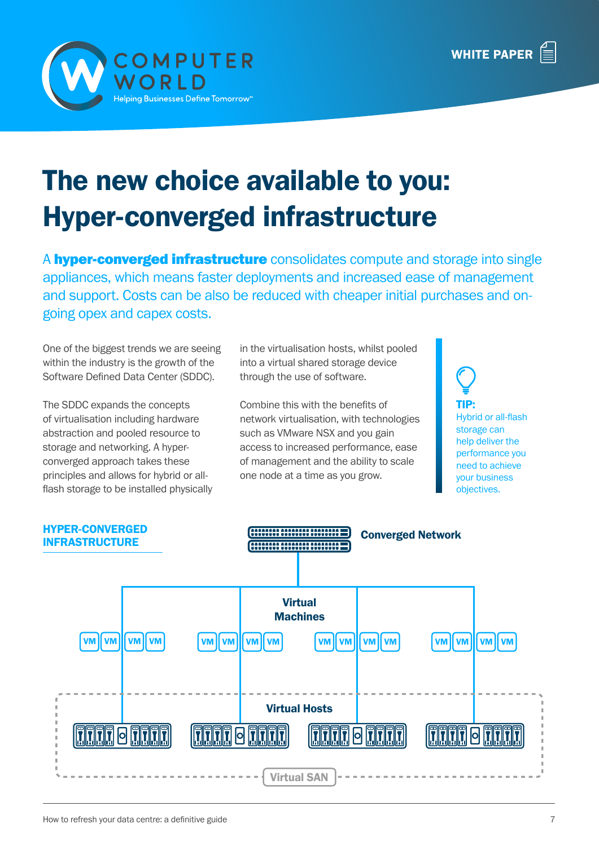



# The new choice available to you: Hyper-converged infrastructure

A **hyper-converged infrastructure** consolidates compute and storage into single appliances, which means faster deployments and increased ease of management and support. Costs can be also be reduced with cheaper initial purchases and ongoing opex and capex costs.

One of the biggest trends we are seeing within the industry is the growth of the Software Defined Data Center (SDDC).

The SDDC expands the concepts of virtualisation including hardware abstraction and pooled resource to storage and networking. A hyperconverged approach takes these principles and allows for hybrid or allflash storage to be installed physically in the virtualisation hosts, whilst pooled into a virtual shared storage device through the use of software.

Combine this with the benefits of network virtualisation, with technologies such as VMware NSX and you gain access to increased performance, ease of management and the ability to scale one node at a time as you grow.

TIP: Hybrid or all-flash storage can help deliver the performance you need to achieve your business objectives.

HYPER-CONVERGED Converged Network INFRASTRUCTURE 1000000 0000000 000000 Virtual Machines VM VM VM VM VM VM VM VM VM VM VM VM VM VM VM VM Virtual Hosts FF  $\overline{a}$ 问 **o** 

Virtual SAN

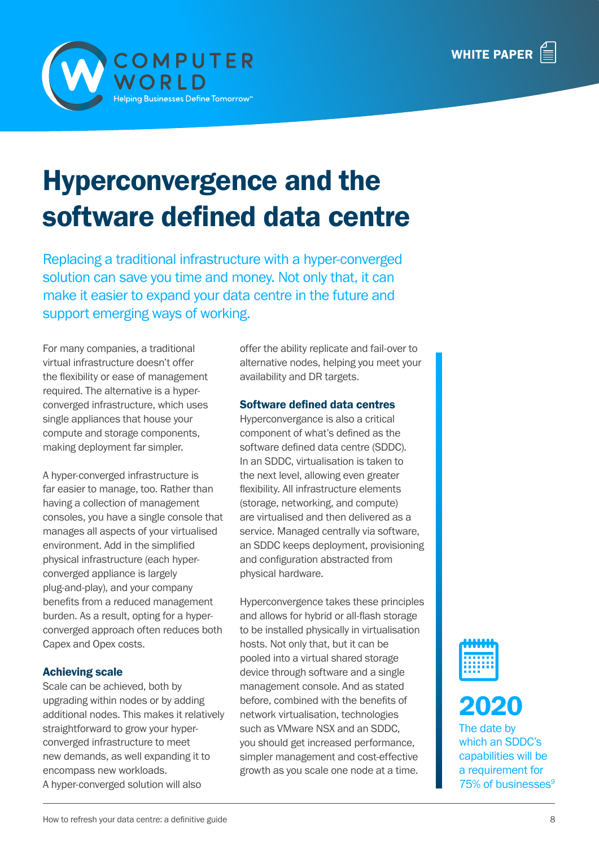



# Hyperconvergence and the software defined data centre

Replacing a traditional infrastructure with a hyper-converged solution can save you time and money. Not only that, it can make it easier to expand your data centre in the future and support emerging ways of working.

For many companies, a traditional virtual infrastructure doesn't offer the flexibility or ease of management required. The alternative is a hyperconverged infrastructure, which uses single appliances that house your compute and storage components, making deployment far simpler.

A hyper-converged infrastructure is far easier to manage, too. Rather than having a collection of management consoles, you have a single console that manages all aspects of your virtualised environment. Add in the simplified physical infrastructure (each hyperconverged appliance is largely plug-and-play), and your company benefits from a reduced management burden. As a result, opting for a hyperconverged approach often reduces both Capex and Opex costs.

#### Achieving scale

Scale can be achieved, both by upgrading within nodes or by adding additional nodes. This makes it relatively straightforward to grow your hyperconverged infrastructure to meet new demands, as well expanding it to encompass new workloads. A hyper-converged solution will also

offer the ability replicate and fail-over to alternative nodes, helping you meet your availability and DR targets.

#### Software defined data centres

Hyperconvergance is also a critical component of what's defined as the software defined data centre (SDDC). In an SDDC, virtualisation is taken to the next level, allowing even greater flexibility. All infrastructure elements (storage, networking, and compute) are virtualised and then delivered as a service. Managed centrally via software, an SDDC keeps deployment, provisioning and configuration abstracted from physical hardware.

Hyperconvergence takes these principles and allows for hybrid or all-flash storage to be installed physically in virtualisation hosts. Not only that, but it can be pooled into a virtual shared storage device through software and a single management console. And as stated before, combined with the benefits of network virtualisation, technologies such as VMware NSX and an SDDC, you should get increased performance, simpler management and cost-effective growth as you scale one node at a time.





The date by which an SDDC's capabilities will be a requirement for 75% of businesses<sup>9</sup>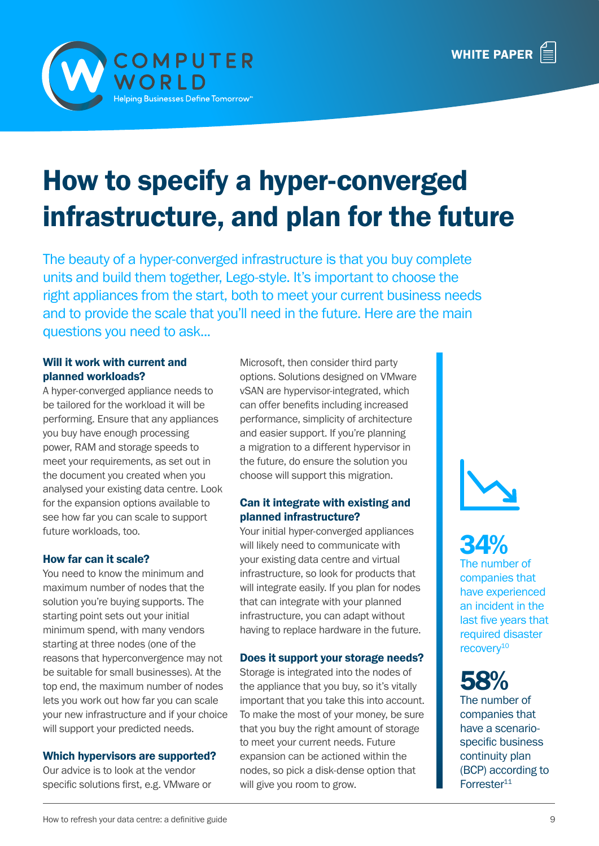

# How to specify a hyper-converged infrastructure, and plan for the future

The beauty of a hyper-converged infrastructure is that you buy complete units and build them together, Lego-style. It's important to choose the right appliances from the start, both to meet your current business needs and to provide the scale that you'll need in the future. Here are the main questions you need to ask...

#### Will it work with current and planned workloads?

A hyper-converged appliance needs to be tailored for the workload it will be performing. Ensure that any appliances you buy have enough processing power, RAM and storage speeds to meet your requirements, as set out in the document you created when you analysed your existing data centre. Look for the expansion options available to see how far you can scale to support future workloads, too.

#### How far can it scale?

You need to know the minimum and maximum number of nodes that the solution you're buying supports. The starting point sets out your initial minimum spend, with many vendors starting at three nodes (one of the reasons that hyperconvergence may not be suitable for small businesses). At the top end, the maximum number of nodes lets you work out how far you can scale your new infrastructure and if your choice will support your predicted needs.

#### Which hypervisors are supported?

Our advice is to look at the vendor specific solutions first, e.g. VMware or Microsoft, then consider third party options. Solutions designed on VMware vSAN are hypervisor-integrated, which can offer benefits including increased performance, simplicity of architecture and easier support. If you're planning a migration to a different hypervisor in the future, do ensure the solution you choose will support this migration.

#### Can it integrate with existing and planned infrastructure?

Your initial hyper-converged appliances will likely need to communicate with your existing data centre and virtual infrastructure, so look for products that will integrate easily. If you plan for nodes that can integrate with your planned infrastructure, you can adapt without having to replace hardware in the future.

#### Does it support your storage needs?

Storage is integrated into the nodes of the appliance that you buy, so it's vitally important that you take this into account. To make the most of your money, be sure that you buy the right amount of storage to meet your current needs. Future expansion can be actioned within the nodes, so pick a disk-dense option that will give you room to grow.



## 34%

The number of companies that have experienced an incident in the last five years that required disaster recovery<sup>10</sup>

## 58%

The number of companies that have a scenariospecific business continuity plan (BCP) according to Forrester<sup>11</sup>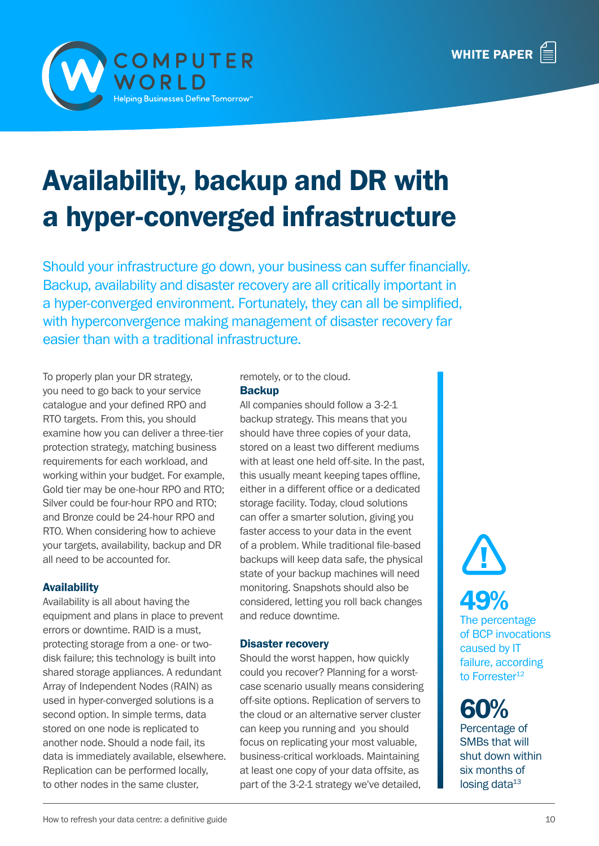



# Availability, backup and DR with a hyper-converged infrastructure

Should your infrastructure go down, your business can suffer financially. Backup, availability and disaster recovery are all critically important in a hyper-converged environment. Fortunately, they can all be simplified, with hyperconvergence making management of disaster recovery far easier than with a traditional infrastructure.

To properly plan your DR strategy, you need to go back to your service catalogue and your defined RPO and RTO targets. From this, you should examine how you can deliver a three-tier protection strategy, matching business requirements for each workload, and working within your budget. For example, Gold tier may be one-hour RPO and RTO; Silver could be four-hour RPO and RTO; and Bronze could be 24-hour RPO and RTO. When considering how to achieve your targets, availability, backup and DR all need to be accounted for.

#### Availability

Availability is all about having the equipment and plans in place to prevent errors or downtime. RAID is a must, protecting storage from a one- or twodisk failure; this technology is built into shared storage appliances. A redundant Array of Independent Nodes (RAIN) as used in hyper-converged solutions is a second option. In simple terms, data stored on one node is replicated to another node. Should a node fail, its data is immediately available, elsewhere. Replication can be performed locally, to other nodes in the same cluster,

#### remotely, or to the cloud. **Backup**

All companies should follow a 3-2-1 backup strategy. This means that you should have three copies of your data, stored on a least two different mediums with at least one held off-site. In the past, this usually meant keeping tapes offline, either in a different office or a dedicated storage facility. Today, cloud solutions can offer a smarter solution, giving you faster access to your data in the event of a problem. While traditional file-based backups will keep data safe, the physical state of your backup machines will need monitoring. Snapshots should also be considered, letting you roll back changes and reduce downtime.

#### Disaster recovery

Should the worst happen, how quickly could you recover? Planning for a worstcase scenario usually means considering off-site options. Replication of servers to the cloud or an alternative server cluster can keep you running and you should focus on replicating your most valuable, business-critical workloads. Maintaining at least one copy of your data offsite, as part of the 3-2-1 strategy we've detailed,



## 49%

The percentage of BCP invocations caused by IT failure, according to Forrester<sup>12</sup>

60% Percentage of SMBs that will shut down within six months of losing data $13$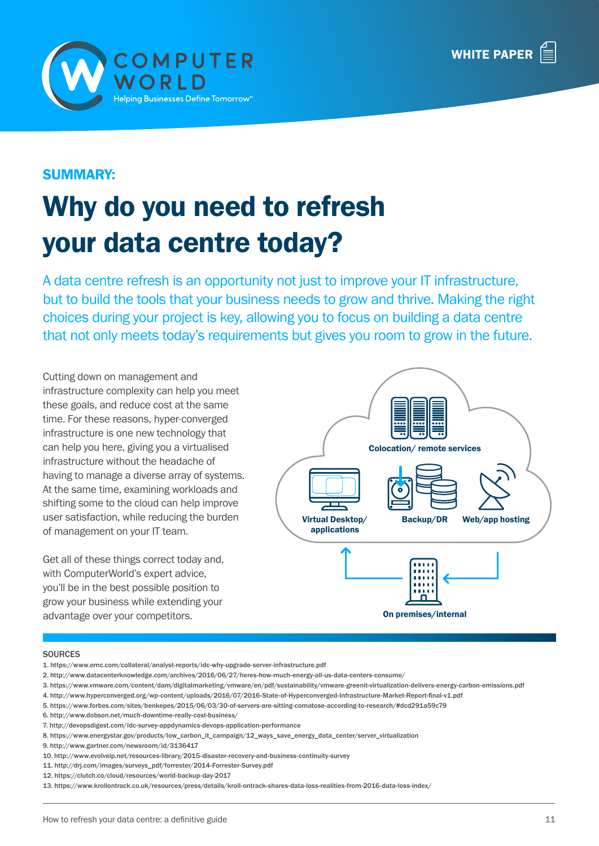



#### SUMMARY:

# Why do you need to refresh your data centre today?

A data centre refresh is an opportunity not just to improve your IT infrastructure, but to build the tools that your business needs to grow and thrive. Making the right choices during your project is key, allowing you to focus on building a data centre that not only meets today's requirements but gives you room to grow in the future.

Cutting down on management and infrastructure complexity can help you meet these goals, and reduce cost at the same time. For these reasons, hyper-converged infrastructure is one new technology that can help you here, giving you a virtualised infrastructure without the headache of having to manage a diverse array of systems. At the same time, examining workloads and shifting some to the cloud can help improve user satisfaction, while reducing the burden of management on your IT team.

Get all of these things correct today and, with ComputerWorld's expert advice, you'll be in the best possible position to grow your business while extending your advantage over your competitors.



#### **SOURCES**

- 1. https://www.emc.com/collateral/analyst-reports/idc-why-upgrade-server-infrastructure.pdf
- 2. http://www.datacenterknowledge.com/archives/2016/06/27/heres-how-much-energy-all-us-data-centers-consume/
- 3. https://www.vmware.com/content/dam/digitalmarketing/vmware/en/pdf/sustainability/vmware-greenit-virtualization-delivers-energy-carbon-emissions.pdf
- 4. http://www.hyperconverged.org/wp-content/uploads/2016/07/2016-State-of-Hyperconverged-Infrastructure-Market-Report-final-v1.pdf
- 5. https://www.forbes.com/sites/benkepes/2015/06/03/30-of-servers-are-sitting-comatose-according-to-research/#dcd291a59c79
- 6. http://www.dobson.net/much-downtime-really-cost-business/
- 7. http://devopsdigest.com/idc-survey-appdynamics-devops-application-performance
- 8. https://www.energystar.gov/products/low\_carbon\_it\_campaign/12\_ways\_save\_energy\_data\_center/server\_virtualization
- 9. http://www.gartner.com/newsroom/id/3136417
- 10. http://www.evolveip.net/resources-library/2015-disaster-recovery-and-business-continuity-survey
- 11. http://drj.com/images/surveys\_pdf/forrester/2014-Forrester-Survey.pdf
- 12. https://clutch.co/cloud/resources/world-backup-day-2017

13. https://www.krollontrack.co.uk/resources/press/details/kroll-ontrack-shares-data-loss-realities-from-2016-data-loss-index/